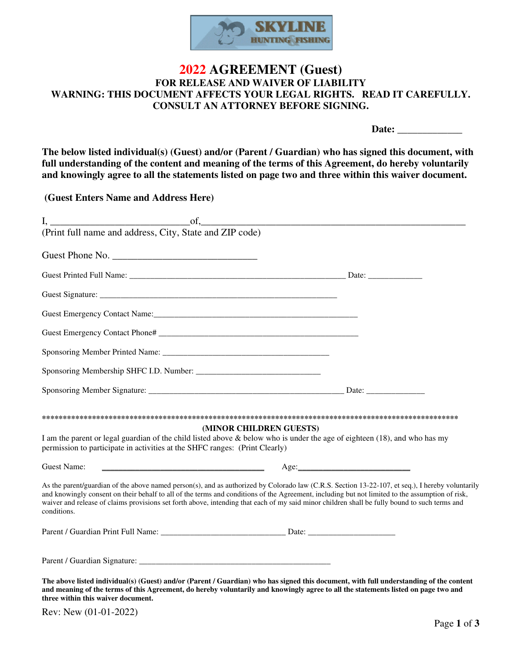

## **2022 AGREEMENT (Guest) FOR RELEASE AND WAIVER OF LIABILITY WARNING: THIS DOCUMENT AFFECTS YOUR LEGAL RIGHTS. READ IT CAREFULLY. CONSULT AN ATTORNEY BEFORE SIGNING.**

Date:

**The below listed individual(s) (Guest) and/or (Parent / Guardian) who has signed this document, with full understanding of the content and meaning of the terms of this Agreement, do hereby voluntarily and knowingly agree to all the statements listed on page two and three within this waiver document.** 

 **(Guest Enters Name and Address Here)** 

| (Print full name and address, City, State and ZIP code)                                                                             |                                                                                                                                                                                                                                                                                                                                                                                                                                                      |
|-------------------------------------------------------------------------------------------------------------------------------------|------------------------------------------------------------------------------------------------------------------------------------------------------------------------------------------------------------------------------------------------------------------------------------------------------------------------------------------------------------------------------------------------------------------------------------------------------|
| Guest Phone No.                                                                                                                     |                                                                                                                                                                                                                                                                                                                                                                                                                                                      |
|                                                                                                                                     |                                                                                                                                                                                                                                                                                                                                                                                                                                                      |
|                                                                                                                                     |                                                                                                                                                                                                                                                                                                                                                                                                                                                      |
|                                                                                                                                     |                                                                                                                                                                                                                                                                                                                                                                                                                                                      |
|                                                                                                                                     |                                                                                                                                                                                                                                                                                                                                                                                                                                                      |
|                                                                                                                                     |                                                                                                                                                                                                                                                                                                                                                                                                                                                      |
|                                                                                                                                     |                                                                                                                                                                                                                                                                                                                                                                                                                                                      |
|                                                                                                                                     |                                                                                                                                                                                                                                                                                                                                                                                                                                                      |
| permission to participate in activities at the SHFC ranges: (Print Clearly)                                                         | (MINOR CHILDREN GUESTS)<br>I am the parent or legal guardian of the child listed above & below who is under the age of eighteen (18), and who has my                                                                                                                                                                                                                                                                                                 |
| <u> 1980 - Johann Barn, mars eta bainar eta bainar eta baina eta baina eta baina eta baina eta baina eta baina e</u><br>Guest Name: | Age:                                                                                                                                                                                                                                                                                                                                                                                                                                                 |
| conditions.                                                                                                                         | As the parent/guardian of the above named person(s), and as authorized by Colorado law (C.R.S. Section 13-22-107, et seq.), I hereby voluntarily<br>and knowingly consent on their behalf to all of the terms and conditions of the Agreement, including but not limited to the assumption of risk,<br>waiver and release of claims provisions set forth above, intending that each of my said minor children shall be fully bound to such terms and |
|                                                                                                                                     |                                                                                                                                                                                                                                                                                                                                                                                                                                                      |
|                                                                                                                                     |                                                                                                                                                                                                                                                                                                                                                                                                                                                      |
| three within this waiver document.                                                                                                  | The above listed individual(s) (Guest) and/or (Parent / Guardian) who has signed this document, with full understanding of the content<br>and meaning of the terms of this Agreement, do hereby voluntarily and knowingly agree to all the statements listed on page two and                                                                                                                                                                         |

Rev: New (01-01-2022)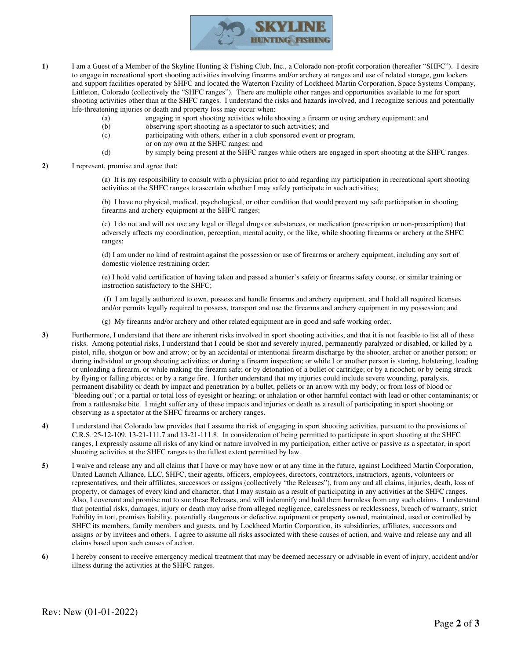

- **1)** I am a Guest of a Member of the Skyline Hunting & Fishing Club, Inc., a Colorado non-profit corporation (hereafter "SHFC"). I desire to engage in recreational sport shooting activities involving firearms and/or archery at ranges and use of related storage, gun lockers and support facilities operated by SHFC and located the Waterton Facility of Lockheed Martin Corporation, Space Systems Company, Littleton, Colorado (collectively the "SHFC ranges"). There are multiple other ranges and opportunities available to me for sport shooting activities other than at the SHFC ranges. I understand the risks and hazards involved, and I recognize serious and potentially life-threatening injuries or death and property loss may occur when:
	- (a) engaging in sport shooting activities while shooting a firearm or using archery equipment; and
	- (b) observing sport shooting as a spectator to such activities; and
	- (c) participating with others, either in a club sponsored event or program,
	- or on my own at the SHFC ranges; and
	- (d) by simply being present at the SHFC ranges while others are engaged in sport shooting at the SHFC ranges.
- **2)** I represent, promise and agree that:

(a) It is my responsibility to consult with a physician prior to and regarding my participation in recreational sport shooting activities at the SHFC ranges to ascertain whether I may safely participate in such activities;

(b) I have no physical, medical, psychological, or other condition that would prevent my safe participation in shooting firearms and archery equipment at the SHFC ranges;

(c) I do not and will not use any legal or illegal drugs or substances, or medication (prescription or non-prescription) that adversely affects my coordination, perception, mental acuity, or the like, while shooting firearms or archery at the SHFC ranges;

(d) I am under no kind of restraint against the possession or use of firearms or archery equipment, including any sort of domestic violence restraining order;

(e) I hold valid certification of having taken and passed a hunter's safety or firearms safety course, or similar training or instruction satisfactory to the SHFC;

(f) I am legally authorized to own, possess and handle firearms and archery equipment, and I hold all required licenses and/or permits legally required to possess, transport and use the firearms and archery equipment in my possession; and

(g) My firearms and/or archery and other related equipment are in good and safe working order.

- **3)** Furthermore, I understand that there are inherent risks involved in sport shooting activities, and that it is not feasible to list all of these risks. Among potential risks, I understand that I could be shot and severely injured, permanently paralyzed or disabled, or killed by a pistol, rifle, shotgun or bow and arrow; or by an accidental or intentional firearm discharge by the shooter, archer or another person; or during individual or group shooting activities; or during a firearm inspection; or while I or another person is storing, holstering, loading or unloading a firearm, or while making the firearm safe; or by detonation of a bullet or cartridge; or by a ricochet; or by being struck by flying or falling objects; or by a range fire. I further understand that my injuries could include severe wounding, paralysis, permanent disability or death by impact and penetration by a bullet, pellets or an arrow with my body; or from loss of blood or 'bleeding out'; or a partial or total loss of eyesight or hearing; or inhalation or other harmful contact with lead or other contaminants; or from a rattlesnake bite. I might suffer any of these impacts and injuries or death as a result of participating in sport shooting or observing as a spectator at the SHFC firearms or archery ranges.
- **4)** I understand that Colorado law provides that I assume the risk of engaging in sport shooting activities, pursuant to the provisions of C.R.S. 25-12-109, 13-21-111.7 and 13-21-111.8. In consideration of being permitted to participate in sport shooting at the SHFC ranges, I expressly assume all risks of any kind or nature involved in my participation, either active or passive as a spectator, in sport shooting activities at the SHFC ranges to the fullest extent permitted by law.
- **5)** I waive and release any and all claims that I have or may have now or at any time in the future, against Lockheed Martin Corporation, United Launch Alliance, LLC, SHFC, their agents, officers, employees, directors, contractors, instructors, agents, volunteers or representatives, and their affiliates, successors or assigns (collectively "the Releases"), from any and all claims, injuries, death, loss of property, or damages of every kind and character, that I may sustain as a result of participating in any activities at the SHFC ranges. Also, I covenant and promise not to sue these Releases, and will indemnify and hold them harmless from any such claims. I understand that potential risks, damages, injury or death may arise from alleged negligence, carelessness or recklessness, breach of warranty, strict liability in tort, premises liability, potentially dangerous or defective equipment or property owned, maintained, used or controlled by SHFC its members, family members and guests, and by Lockheed Martin Corporation, its subsidiaries, affiliates, successors and assigns or by invitees and others. I agree to assume all risks associated with these causes of action, and waive and release any and all claims based upon such causes of action.
- **6)** I hereby consent to receive emergency medical treatment that may be deemed necessary or advisable in event of injury, accident and/or illness during the activities at the SHFC ranges.